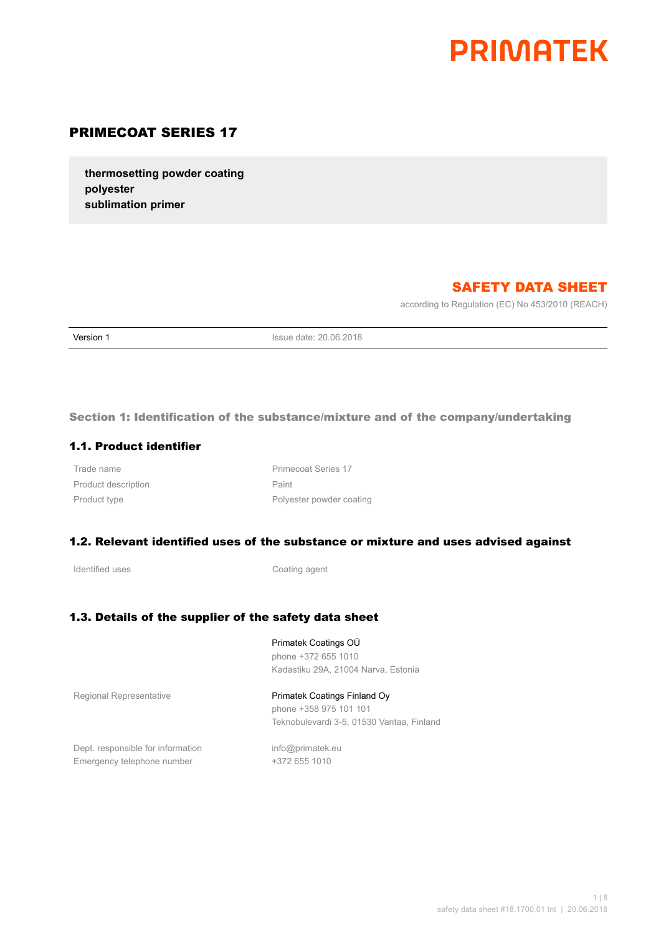# **PRIMATEK**

# PRIMECOAT SERIES 17

**thermosetting powder coating polyester sublimation primer**

# SAFETY DATA SHEET

according to Regulation (EC) No 453/2010 (REACH)

**Version 1 Issue date: 20.06.2018** 

Section 1: Identification of the substance/mixture and of the company/undertaking

## 1.1. Product identifier

Product description **Paint** Paint

Trade name **Primecoat Series** 17 Product type **Product** type **Polyester powder coating** 

#### 1.2. Relevant identified uses of the substance or mixture and uses advised against

Identified uses **Coating agent** 

## 1.3. Details of the supplier of the safety data sheet

Primatek Coatings OÜ phone +372 655 1010 Kadastiku 29A, 21004 Narva, Estonia

Regional Representative **Primatek Coatings Finland Oy** phone +358 975 101 101 Teknobulevardi 3-5, 01530 Vantaa, Finland

Dept. responsible for information info@primatek.eu Emergency telephone number +372 655 1010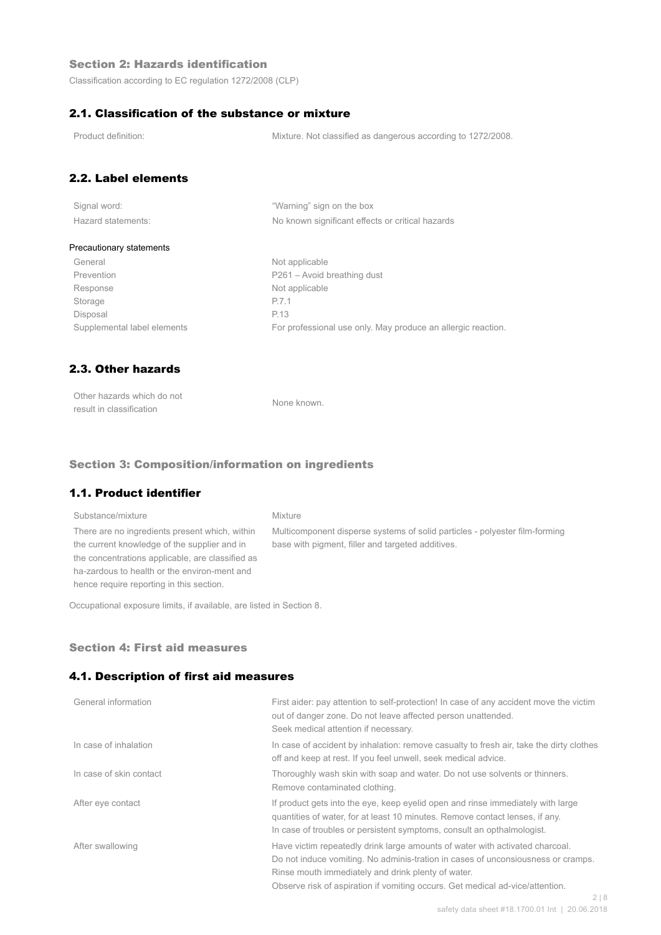## Section 2: Hazards identification

Classification according to EC regulation 1272/2008 (CLP)

## 2.1. Classification of the substance or mixture

Product definition: Mixture. Not classified as dangerous according to 1272/2008.

## 2.2. Label elements

| Signal word:       |  |  |
|--------------------|--|--|
| Hazard statements: |  |  |

"Warning" sign on the box No known significant effects or critical hazards

#### Precautionary statements

General Not applicable Prevention Prevention P261 – Avoid breathing dust Response Not applicable Storage P.7.1 Disposal P.13

Supplemental label elements For professional use only. May produce an allergic reaction.

## 2.3. Other hazards

| Other hazards which do not | None known. |
|----------------------------|-------------|
| result in classification   |             |

#### Section 3: Composition/information on ingredients

## 1.1. Product identifier

## Substance/mixture Mixture There are no ingredients present which, within the current knowledge of the supplier and in the concentrations applicable, are classified as ha-zardous to health or the environ-ment and hence require reporting in this section.

Multicomponent disperse systems of solid particles - polyester film-forming base with pigment, filler and targeted additives.

Occupational exposure limits, if available, are listed in Section 8.

#### Section 4: First aid measures

#### 4.1. Description of first aid measures

| General information     | First aider: pay attention to self-protection! In case of any accident move the victim<br>out of danger zone. Do not leave affected person unattended.<br>Seek medical attention if necessary.                                                                                                                        |
|-------------------------|-----------------------------------------------------------------------------------------------------------------------------------------------------------------------------------------------------------------------------------------------------------------------------------------------------------------------|
| In case of inhalation   | In case of accident by inhalation: remove casualty to fresh air, take the dirty clothes<br>off and keep at rest. If you feel unwell, seek medical advice.                                                                                                                                                             |
| In case of skin contact | Thoroughly wash skin with soap and water. Do not use solvents or thinners.<br>Remove contaminated clothing.                                                                                                                                                                                                           |
| After eye contact       | If product gets into the eye, keep eyelid open and rinse immediately with large<br>guantities of water, for at least 10 minutes. Remove contact lenses, if any.<br>In case of troubles or persistent symptoms, consult an opthalmologist.                                                                             |
| After swallowing        | Have victim repeatedly drink large amounts of water with activated charcoal.<br>Do not induce vomiting. No adminis-tration in cases of unconsiousness or cramps.<br>Rinse mouth immediately and drink plenty of water.<br>Observe risk of aspiration if vomiting occurs. Get medical ad-vice/attention.<br>$\bigcirc$ |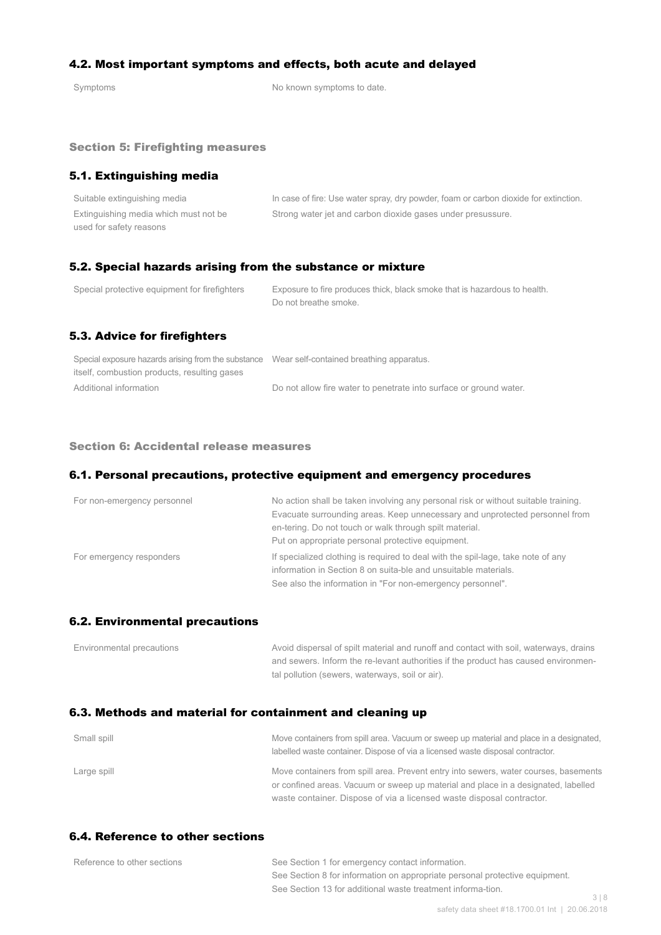## 4.2. Most important symptoms and effects, both acute and delayed

Symptoms Symptoms of the Symptoms to date.

#### Section 5: Firefighting measures

## 5.1. Extinguishing media

| Suitable extinguishing media          | In case of fire: Use water spray, dry powder, foam or carbon dioxide for extinction. |
|---------------------------------------|--------------------------------------------------------------------------------------|
| Extinguishing media which must not be | Strong water jet and carbon dioxide gases under presussure.                          |
| used for safety reasons               |                                                                                      |

## 5.2. Special hazards arising from the substance or mixture

| Special protective equipment for firefighters | Exposure to fire produces thick, black smoke that is hazardous to health.<br>Do not breathe smoke. |
|-----------------------------------------------|----------------------------------------------------------------------------------------------------|
| 5.3. Advice for firefighters                  |                                                                                                    |

| Special exposure hazards arising from the substance Wear self-contained breathing apparatus. |                                                                    |
|----------------------------------------------------------------------------------------------|--------------------------------------------------------------------|
| itself, combustion products, resulting gases                                                 |                                                                    |
| Additional information                                                                       | Do not allow fire water to penetrate into surface or ground water. |

#### Section 6: Accidental release measures

## 6.1. Personal precautions, protective equipment and emergency procedures

| For non-emergency personnel | No action shall be taken involving any personal risk or without suitable training.<br>Evacuate surrounding areas. Keep unnecessary and unprotected personnel from<br>en-tering. Do not touch or walk through spilt material.<br>Put on appropriate personal protective equipment. |
|-----------------------------|-----------------------------------------------------------------------------------------------------------------------------------------------------------------------------------------------------------------------------------------------------------------------------------|
| For emergency responders    | If specialized clothing is required to deal with the spil-lage, take note of any<br>information in Section 8 on suita-ble and unsuitable materials.<br>See also the information in "For non-emergency personnel".                                                                 |

#### 6.2. Environmental precautions

| Environmental precautions | Avoid dispersal of spilt material and runoff and contact with soil, waterways, drains |
|---------------------------|---------------------------------------------------------------------------------------|
|                           | and sewers. Inform the re-levant authorities if the product has caused environmen-    |
|                           | tal pollution (sewers, waterways, soil or air).                                       |

## 6.3. Methods and material for containment and cleaning up

| Small spill | Move containers from spill area. Vacuum or sweep up material and place in a designated,<br>labelled waste container. Dispose of via a licensed waste disposal contractor.  |
|-------------|----------------------------------------------------------------------------------------------------------------------------------------------------------------------------|
| Large spill | Move containers from spill area. Prevent entry into sewers, water courses, basements<br>or confined areas. Vacuum or sweep up material and place in a designated, labelled |
|             | waste container. Dispose of via a licensed waste disposal contractor.                                                                                                      |

## 6.4. Reference to other sections

| Reference to other sections | See Section 1 for emergency contact information.                            |  |
|-----------------------------|-----------------------------------------------------------------------------|--|
|                             | See Section 8 for information on appropriate personal protective equipment. |  |
|                             | See Section 13 for additional waste treatment informa-tion.                 |  |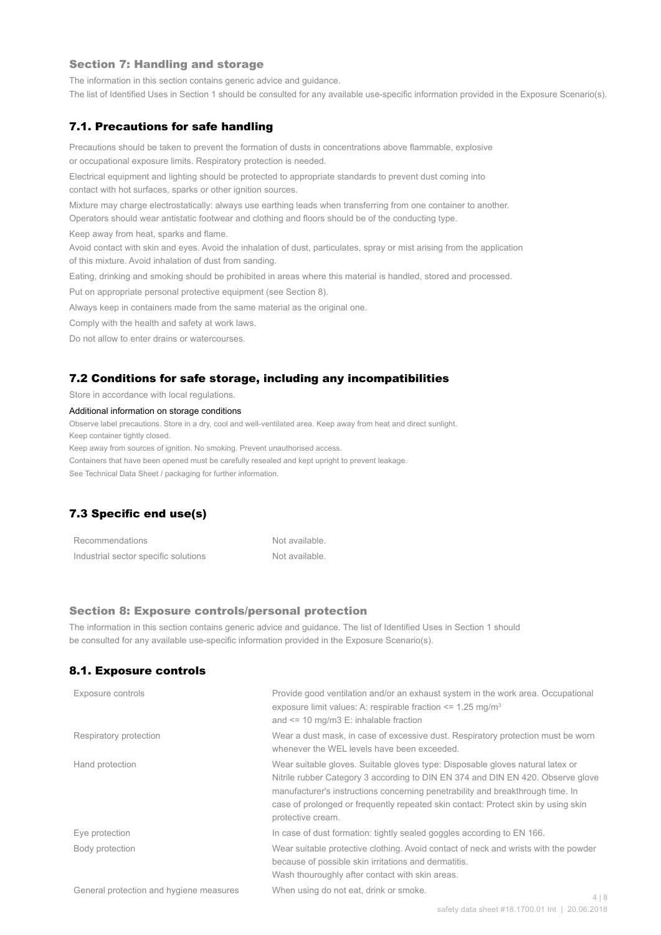#### Section 7: Handling and storage

The information in this section contains generic advice and guidance.

The list of Identified Uses in Section 1 should be consulted for any available use-specific information provided in the Exposure Scenario(s).

#### 7.1. Precautions for safe handling

Precautions should be taken to prevent the formation of dusts in concentrations above flammable, explosive or occupational exposure limits. Respiratory protection is needed.

Electrical equipment and lighting should be protected to appropriate standards to prevent dust coming into contact with hot surfaces, sparks or other ignition sources.

Mixture may charge electrostatically: always use earthing leads when transferring from one container to another.

Operators should wear antistatic footwear and clothing and floors should be of the conducting type.

Keep away from heat, sparks and flame.

Avoid contact with skin and eyes. Avoid the inhalation of dust, particulates, spray or mist arising from the application of this mixture. Avoid inhalation of dust from sanding.

Eating, drinking and smoking should be prohibited in areas where this material is handled, stored and processed.

Put on appropriate personal protective equipment (see Section 8).

Always keep in containers made from the same material as the original one.

Comply with the health and safety at work laws.

Do not allow to enter drains or watercourses.

#### 7.2 Conditions for safe storage, including any incompatibilities

Store in accordance with local regulations.

#### Additional information on storage conditions

Observe label precautions. Store in a dry, cool and well-ventilated area. Keep away from heat and direct sunlight.

Keep container tightly closed.

Keep away from sources of ignition. No smoking. Prevent unauthorised access.

Containers that have been opened must be carefully resealed and kept upright to prevent leakage.

See Technical Data Sheet / packaging for further information.

## 7.3 Specific end use(s)

| Recommendations                      | Not available. |
|--------------------------------------|----------------|
| Industrial sector specific solutions | Not available. |

#### Section 8: Exposure controls/personal protection

The information in this section contains generic advice and guidance. The list of Identified Uses in Section 1 should be consulted for any available use-specific information provided in the Exposure Scenario(s).

#### 8.1. Exposure controls

| Exposure controls                       | Provide good ventilation and/or an exhaust system in the work area. Occupational<br>exposure limit values: A: respirable fraction $\leq$ 1.25 mg/m <sup>3</sup><br>and $\leq$ 10 mg/m3 E: inhalable fraction                                                                                                                                                  |
|-----------------------------------------|---------------------------------------------------------------------------------------------------------------------------------------------------------------------------------------------------------------------------------------------------------------------------------------------------------------------------------------------------------------|
| Respiratory protection                  | Wear a dust mask, in case of excessive dust. Respiratory protection must be worn<br>whenever the WEL levels have been exceeded.                                                                                                                                                                                                                               |
| Hand protection                         | Wear suitable gloves. Suitable gloves type: Disposable gloves natural latex or<br>Nitrile rubber Category 3 according to DIN EN 374 and DIN EN 420. Observe glove<br>manufacturer's instructions concerning penetrability and breakthrough time. In<br>case of prolonged or frequently repeated skin contact: Protect skin by using skin<br>protective cream. |
| Eye protection                          | In case of dust formation: tightly sealed goggles according to EN 166.                                                                                                                                                                                                                                                                                        |
| Body protection                         | Wear suitable protective clothing. Avoid contact of neck and wrists with the powder<br>because of possible skin irritations and dermatitis.<br>Wash thouroughly after contact with skin areas.                                                                                                                                                                |
| General protection and hygiene measures | When using do not eat, drink or smoke.                                                                                                                                                                                                                                                                                                                        |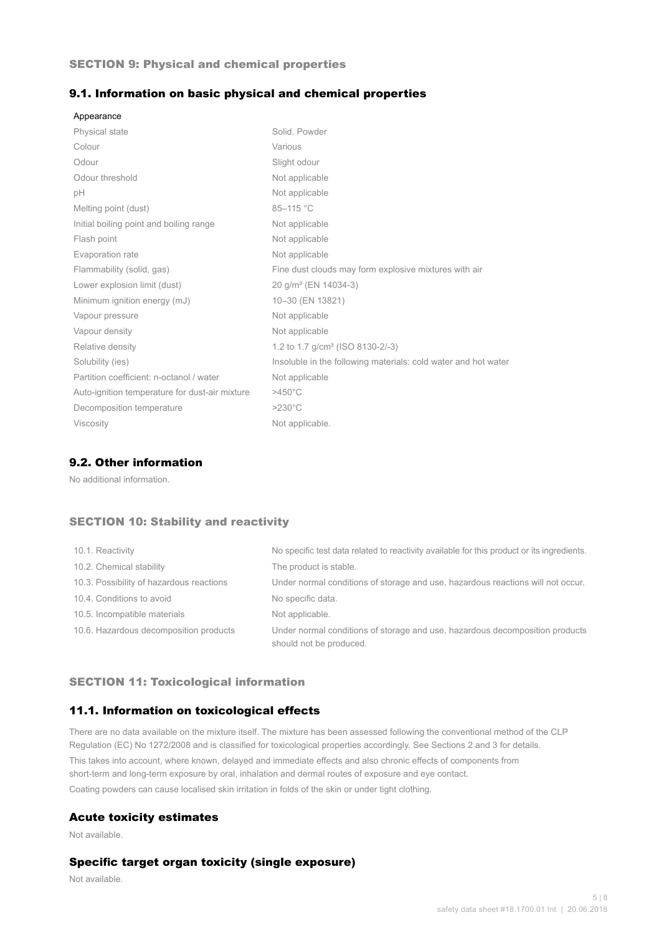## SECTION 9: Physical and chemical properties

## 9.1. Information on basic physical and chemical properties

| Appearance                                     |                                                                |
|------------------------------------------------|----------------------------------------------------------------|
| <b>Physical state</b>                          | Solid, Powder                                                  |
| Colour                                         | Various                                                        |
| Odour                                          | Slight odour                                                   |
| Odour threshold                                | Not applicable                                                 |
| рH                                             | Not applicable                                                 |
| Melting point (dust)                           | 85-115 °C                                                      |
| Initial boiling point and boiling range        | Not applicable                                                 |
| Flash point                                    | Not applicable                                                 |
| Evaporation rate                               | Not applicable                                                 |
| Flammability (solid, gas)                      | Fine dust clouds may form explosive mixtures with air          |
| Lower explosion limit (dust)                   | 20 g/m <sup>3</sup> (EN 14034-3)                               |
| Minimum ignition energy (mJ)                   | 10-30 (EN 13821)                                               |
| Vapour pressure                                | Not applicable                                                 |
| Vapour density                                 | Not applicable                                                 |
| Relative density                               | 1.2 to 1.7 g/cm <sup>3</sup> (ISO 8130-2/-3)                   |
| Solubility (ies)                               | Insoluble in the following materials: cold water and hot water |
| Partition coefficient: n-octanol / water       | Not applicable                                                 |
| Auto-ignition temperature for dust-air mixture | $>450^{\circ}$ C                                               |
| Decomposition temperature                      | $>230^{\circ}$ C                                               |
| <b>Viscosity</b>                               | Not applicable.                                                |

## 9.2. Other information

No additional information.

## SECTION 10: Stability and reactivity

| 10.1. Reactivity                         | No specific test data related to reactivity available for this product or its ingredients.              |
|------------------------------------------|---------------------------------------------------------------------------------------------------------|
| 10.2. Chemical stability                 | The product is stable.                                                                                  |
| 10.3. Possibility of hazardous reactions | Under normal conditions of storage and use, hazardous reactions will not occur.                         |
| 10.4. Conditions to avoid                | No specific data.                                                                                       |
| 10.5. Incompatible materials             | Not applicable.                                                                                         |
| 10.6. Hazardous decomposition products   | Under normal conditions of storage and use, hazardous decomposition products<br>should not be produced. |

## SECTION 11: Toxicological information

## 11.1. Information on toxicological effects

There are no data available on the mixture itself. The mixture has been assessed following the conventional method of the CLP Regulation (EC) No 1272/2008 and is classified for toxicological properties accordingly. See Sections 2 and 3 for details. This takes into account, where known, delayed and immediate effects and also chronic effects of components from short-term and long-term exposure by oral, inhalation and dermal routes of exposure and eye contact. Coating powders can cause localised skin irritation in folds of the skin or under tight clothing.

#### Acute toxicity estimates

Not available.

## Specific target organ toxicity (single exposure)

Not available.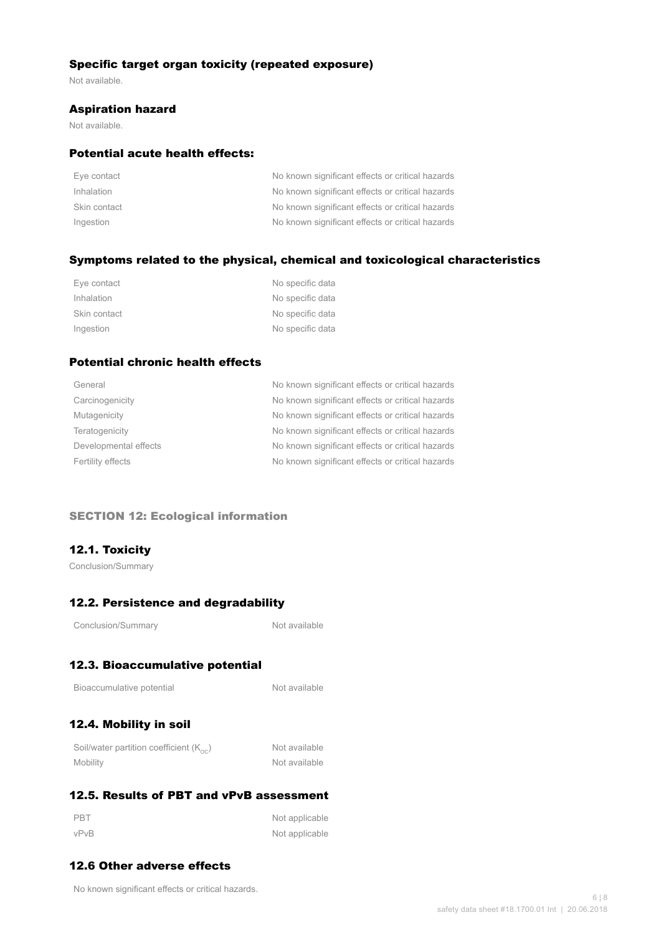## Specific target organ toxicity (repeated exposure)

Not available.

#### Aspiration hazard

Not available.

## Potential acute health effects:

| Eye contact  | No known significant effects or critical hazards |
|--------------|--------------------------------------------------|
| Inhalation   | No known significant effects or critical hazards |
| Skin contact | No known significant effects or critical hazards |
| Ingestion    | No known significant effects or critical hazards |

## Symptoms related to the physical, chemical and toxicological characteristics

| Eye contact  | No specific data |
|--------------|------------------|
| Inhalation   | No specific data |
| Skin contact | No specific data |
| Ingestion    | No specific data |

## Potential chronic health effects

| General               | No known significant effects or critical hazards |
|-----------------------|--------------------------------------------------|
| Carcinogenicity       | No known significant effects or critical hazards |
| Mutagenicity          | No known significant effects or critical hazards |
| Teratogenicity        | No known significant effects or critical hazards |
| Developmental effects | No known significant effects or critical hazards |
| Fertility effects     | No known significant effects or critical hazards |
|                       |                                                  |

## SECTION 12: Ecological information

## 12.1. Toxicity

Conclusion/Summary

## 12.2. Persistence and degradability

Not available

# 12.3. Bioaccumulative potential

| Bioaccumulative potential |  |
|---------------------------|--|
|---------------------------|--|

Not available

# 12.4. Mobility in soil

| Soil/water partition coefficient $(K_{\text{oc}})$ | Not available |
|----------------------------------------------------|---------------|
| Mobility                                           | Not available |

# 12.5. Results of PBT and vPvB assessment

| PBT  | Not applicable |
|------|----------------|
| vPvB | Not applicable |

## 12.6 Other adverse effects

No known significant effects or critical hazards.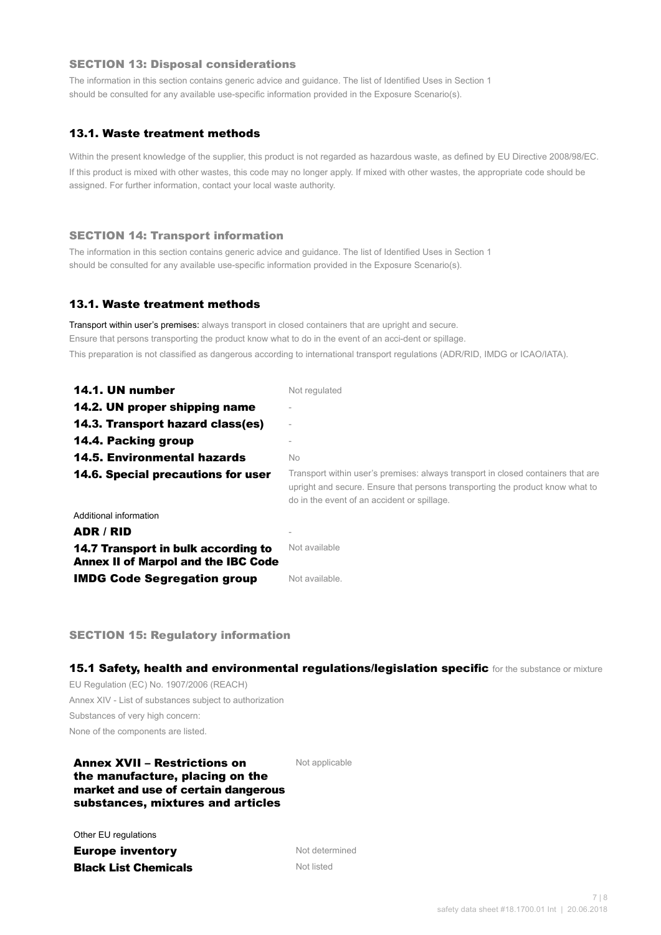#### SECTION 13: Disposal considerations

The information in this section contains generic advice and guidance. The list of Identified Uses in Section 1 should be consulted for any available use-specific information provided in the Exposure Scenario(s).

## 13.1. Waste treatment methods

Within the present knowledge of the supplier, this product is not regarded as hazardous waste, as defined by EU Directive 2008/98/EC. If this product is mixed with other wastes, this code may no longer apply. If mixed with other wastes, the appropriate code should be assigned. For further information, contact your local waste authority.

#### SECTION 14: Transport information

The information in this section contains generic advice and guidance. The list of Identified Uses in Section 1 should be consulted for any available use-specific information provided in the Exposure Scenario(s).

#### 13.1. Waste treatment methods

Transport within user's premises: always transport in closed containers that are upright and secure. Ensure that persons transporting the product know what to do in the event of an acci-dent or spillage. This preparation is not classified as dangerous according to international transport regulations (ADR/RID, IMDG or ICAO/IATA).

| 14.1. UN number                                                                   | Not regulated                                                                                                                                                                                                    |
|-----------------------------------------------------------------------------------|------------------------------------------------------------------------------------------------------------------------------------------------------------------------------------------------------------------|
| 14.2. UN proper shipping name                                                     |                                                                                                                                                                                                                  |
| 14.3. Transport hazard class(es)                                                  |                                                                                                                                                                                                                  |
| 14.4. Packing group                                                               |                                                                                                                                                                                                                  |
| <b>14.5. Environmental hazards</b>                                                | No.                                                                                                                                                                                                              |
| 14.6. Special precautions for user                                                | Transport within user's premises: always transport in closed containers that are<br>upright and secure. Ensure that persons transporting the product know what to<br>do in the event of an accident or spillage. |
| Additional information                                                            |                                                                                                                                                                                                                  |
| ADR / RID                                                                         |                                                                                                                                                                                                                  |
| 14.7 Transport in bulk according to<br><b>Annex II of Marpol and the IBC Code</b> | Not available                                                                                                                                                                                                    |
| <b>IMDG Code Segregation group</b>                                                | Not available.                                                                                                                                                                                                   |

SECTION 15: Regulatory information

15.1 Safety, health and environmental regulations/legislation specific for the substance or mixture

EU Regulation (EC) No. 1907/2006 (REACH) Annex XIV - List of substances subject to authorization Substances of very high concern: None of the components are listed.

## Annex XVII – Restrictions on the manufacture, placing on the market and use of certain dangerous substances, mixtures and articles

Not applicable

Other EU regulations

**Europe inventory** Not determined **Black List Chemicals** Not listed